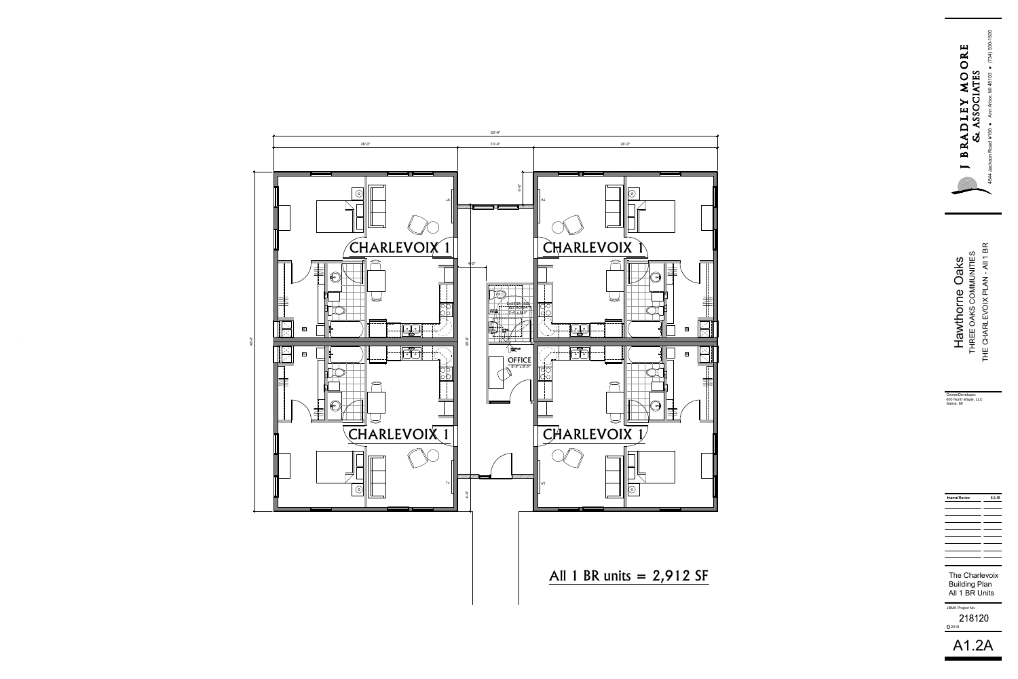



Hawthorne Oaks<br>THREE OAKS COMMUNITIES<br>THE CHARLEVOIX PLAN - AII 1 BR **An Project No.**<br>
THREE OAKS COMMUNITIES<br>
THE CHARLEVOIX PLAN - All 1 BR<br>
THE CHARLEVOIX PLAN - All 1 BR<br>
THE CHARLEVOIX PLAN - All 1 BR<br>
UID BR Units<br>
218120<br>
A 1. 248120

Owner/Developer: 600 North Maple, LLC

| <b>Internal Review</b> | 8318 |
|------------------------|------|
|                        |      |
|                        |      |
|                        |      |
|                        |      |
|                        |      |
|                        |      |
|                        |      |
|                        |      |
|                        |      |

C 2018



The Charlevoix Building Plan All 1 BR Units

JBMA Project No. 218120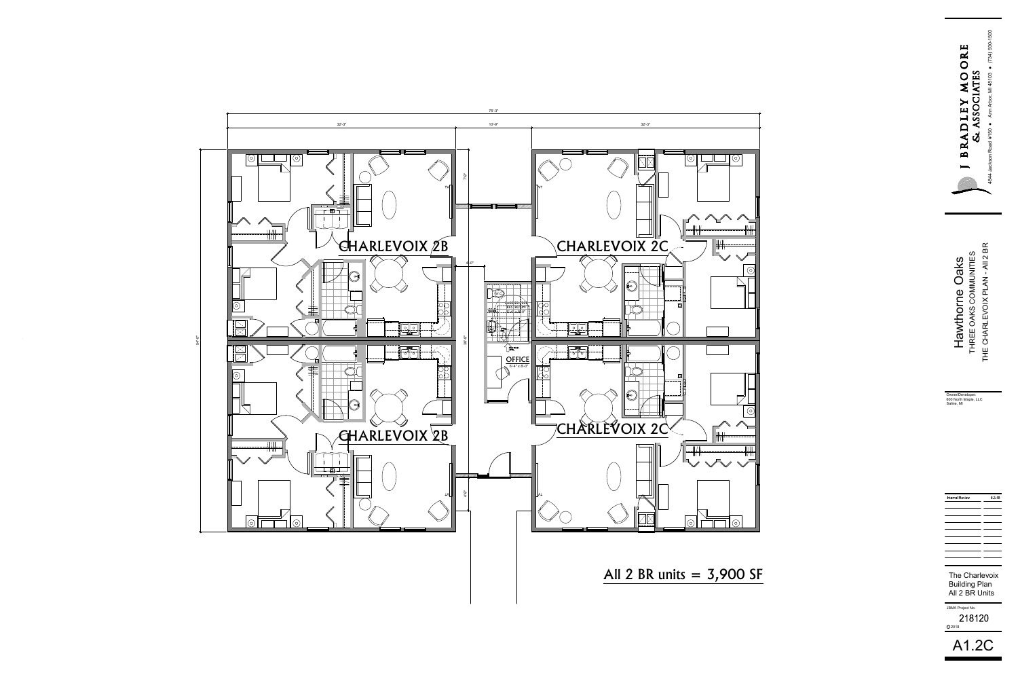



Hawthorne Oaks<br>THREE OAKS COMMUNITIES<br>THE CHARLEVOIX PLAN - AII 2 BR An Fregret No.<br>
A1.2CTHE CHARLEVOIX PLAN - AII 2 BR<br>
A1.2CTHE CHARLEVOIX PLAN - AII 2 BR<br>
A1.2CTHE CHARLEVOIX PLAN - AII 2 BR<br>
An Fregret No.<br>
218120<br>
A1.2CTHE CHARLEVOIX PLAN - AII 2 BR<br>
CHARLEVOIX PLAN - AII 2 BR<br>
CHARLE

Owner/Developer: 600 North Maple, LLC

| the contract of the contract of the contract of the contract of the contract of the contract of                                                                                                                                      |  |
|--------------------------------------------------------------------------------------------------------------------------------------------------------------------------------------------------------------------------------------|--|
|                                                                                                                                                                                                                                      |  |
|                                                                                                                                                                                                                                      |  |
|                                                                                                                                                                                                                                      |  |
|                                                                                                                                                                                                                                      |  |
| <u> Andreas Andreas Andreas Andreas Andreas Andreas Andreas Andreas Andreas Andreas Andreas Andreas Andreas Andreas</u>                                                                                                              |  |
|                                                                                                                                                                                                                                      |  |
|                                                                                                                                                                                                                                      |  |
|                                                                                                                                                                                                                                      |  |
|                                                                                                                                                                                                                                      |  |
| <u> Andreas Andreas Andreas Andreas Andreas Andreas Andreas Andreas Andreas Andreas Andreas Andreas Andreas Andreas</u>                                                                                                              |  |
|                                                                                                                                                                                                                                      |  |
|                                                                                                                                                                                                                                      |  |
|                                                                                                                                                                                                                                      |  |
|                                                                                                                                                                                                                                      |  |
| <u> Andreas Andreas Andreas Andreas Andreas Andreas Andreas Andreas Andreas Andreas Andreas Andreas Andreas Andreas</u>                                                                                                              |  |
|                                                                                                                                                                                                                                      |  |
|                                                                                                                                                                                                                                      |  |
|                                                                                                                                                                                                                                      |  |
|                                                                                                                                                                                                                                      |  |
| <u> Andreas Andreas Andreas Andreas Andreas Andreas Andreas Andreas Andreas Andreas Andreas Andreas Andreas Andreas</u>                                                                                                              |  |
|                                                                                                                                                                                                                                      |  |
|                                                                                                                                                                                                                                      |  |
|                                                                                                                                                                                                                                      |  |
|                                                                                                                                                                                                                                      |  |
|                                                                                                                                                                                                                                      |  |
| <u> Andreas Andreas Andreas Andreas Andreas Andreas Andreas Andreas Andreas Andreas Andreas Andreas Andreas Andreas Andreas Andreas Andreas Andreas Andreas Andreas Andreas Andreas Andreas Andreas Andreas Andreas Andreas Andr</u> |  |
|                                                                                                                                                                                                                                      |  |
|                                                                                                                                                                                                                                      |  |
|                                                                                                                                                                                                                                      |  |
|                                                                                                                                                                                                                                      |  |
|                                                                                                                                                                                                                                      |  |
|                                                                                                                                                                                                                                      |  |
|                                                                                                                                                                                                                                      |  |
|                                                                                                                                                                                                                                      |  |
|                                                                                                                                                                                                                                      |  |
| <u> Andreas Andreas and Andreas Andreas and Andreas and Andreas and Andreas and Andreas and Andreas and Andreas Andreas and Andreas and Andreas and Andreas and Andreas and Andreas and Andreas and Andreas and Andreas and Andr</u> |  |
|                                                                                                                                                                                                                                      |  |
|                                                                                                                                                                                                                                      |  |
|                                                                                                                                                                                                                                      |  |
|                                                                                                                                                                                                                                      |  |
|                                                                                                                                                                                                                                      |  |
|                                                                                                                                                                                                                                      |  |
|                                                                                                                                                                                                                                      |  |
|                                                                                                                                                                                                                                      |  |
|                                                                                                                                                                                                                                      |  |
|                                                                                                                                                                                                                                      |  |

8.3.18

**Internal Review** 

C 2018

A1.2C

The Charlevoix Building Plan All 2 BR Units

JBMA Project No.

218120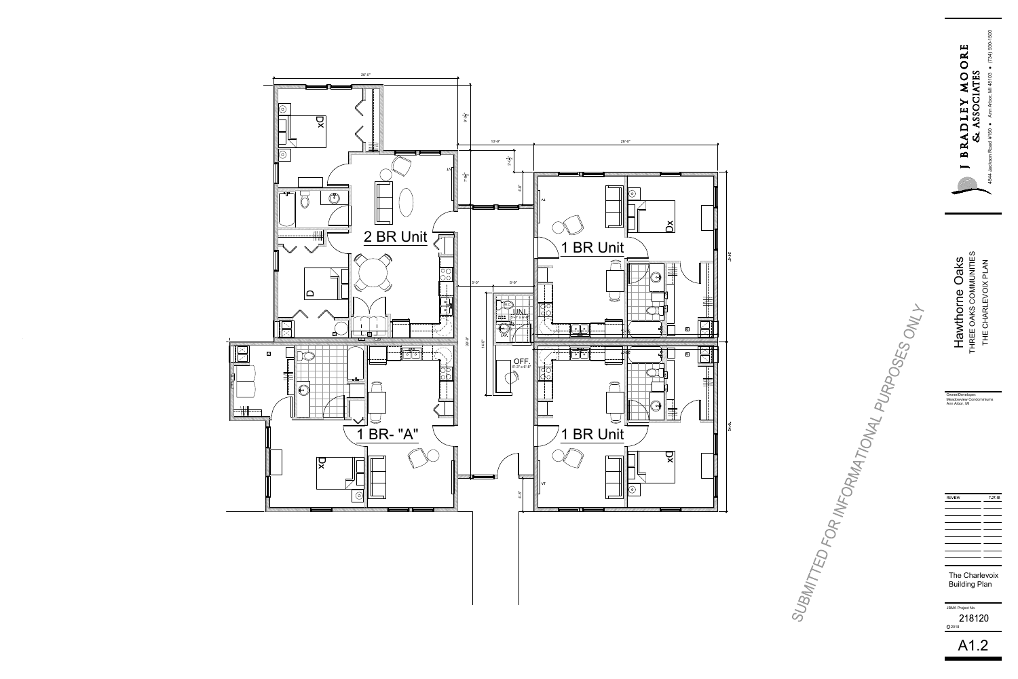



Hawthorne Oaks<br>THREE OAKS COMMUNITIES<br>THE CHARLEVOIX PLAN

| Hawthorne Oaks<br>THE CHARLEVOIX PLAN<br><b>THREE OAKS COMMUNIT</b> |  |
|---------------------------------------------------------------------|--|
| Owner/Developer:<br>Meadowview Condominiums<br>Ann Arbor, MI        |  |
| 7 27 18<br><b>REVIEW</b>                                            |  |
| <b>The Charlevoix</b><br><b>Building Plan</b>                       |  |
| JBMA Project No.<br>218120<br>C2018                                 |  |
| A1.2                                                                |  |

## The Charlevoix Building Plan